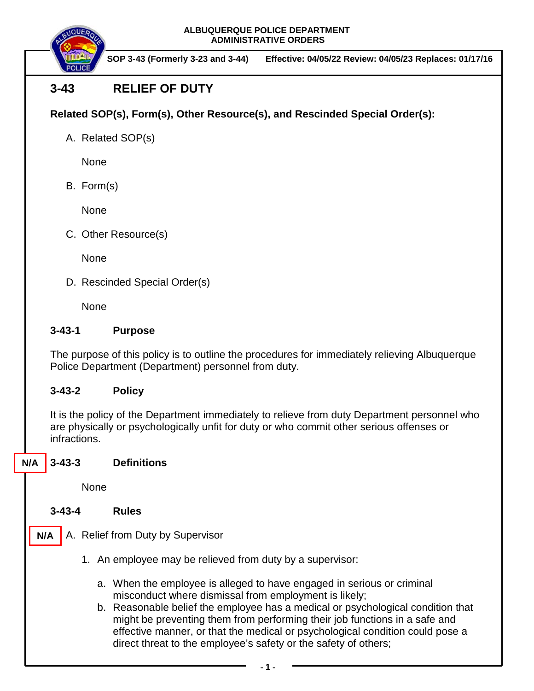**ALBUQUERQUE POLICE DEPARTMENT ADMINISTRATIVE ORDERS**



 **SOP 3-43 (Formerly 3-23 and 3-44) Effective: 04/05/22 Review: 04/05/23 Replaces: 01/17/16**

# **3-43 RELIEF OF DUTY**

# **Related SOP(s), Form(s), Other Resource(s), and Rescinded Special Order(s):**

A. Related SOP(s)

None

B. Form(s)

None

C. Other Resource(s)

**None** 

D. Rescinded Special Order(s)

None

### **3-43-1 Purpose**

The purpose of this policy is to outline the procedures for immediately relieving Albuquerque Police Department (Department) personnel from duty.

### **3-43-2 Policy**

It is the policy of the Department immediately to relieve from duty Department personnel who are physically or psychologically unfit for duty or who commit other serious offenses or infractions.

#### **3-43-3 Definitions N/A**

None

**3-43-4 Rules**

- A. Relief from Duty by Supervisor **N/A**
	- 1. An employee may be relieved from duty by a supervisor:
		- a. When the employee is alleged to have engaged in serious or criminal misconduct where dismissal from employment is likely;
		- b. Reasonable belief the employee has a medical or psychological condition that might be preventing them from performing their job functions in a safe and effective manner, or that the medical or psychological condition could pose a direct threat to the employee's safety or the safety of others;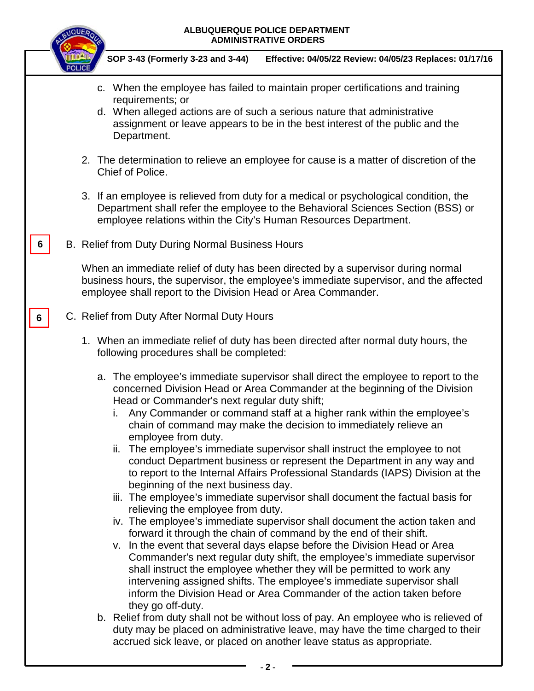# **ALBUQUERQUE POLICE DEPARTMENT ADMINISTRATIVE ORDERS SOP 3-43 (Formerly 3-23 and 3-44) Effective: 04/05/22 Review: 04/05/23 Replaces: 01/17/16** c. When the employee has failed to maintain proper certifications and training requirements; or d. When alleged actions are of such a serious nature that administrative assignment or leave appears to be in the best interest of the public and the Department. 2. The determination to relieve an employee for cause is a matter of discretion of the Chief of Police. 3. If an employee is relieved from duty for a medical or psychological condition, the Department shall refer the employee to the Behavioral Sciences Section (BSS) or employee relations within the City's Human Resources Department. B. Relief from Duty During Normal Business Hours When an immediate relief of duty has been directed by a supervisor during normal business hours, the supervisor, the employee's immediate supervisor, and the affected employee shall report to the Division Head or Area Commander. C. Relief from Duty After Normal Duty Hours 1. When an immediate relief of duty has been directed after normal duty hours, the following procedures shall be completed: a. The employee's immediate supervisor shall direct the employee to report to the concerned Division Head or Area Commander at the beginning of the Division Head or Commander's next regular duty shift; i. Any Commander or command staff at a higher rank within the employee's chain of command may make the decision to immediately relieve an employee from duty. ii. The employee's immediate supervisor shall instruct the employee to not conduct Department business or represent the Department in any way and to report to the Internal Affairs Professional Standards (IAPS) Division at the beginning of the next business day. iii. The employee's immediate supervisor shall document the factual basis for relieving the employee from duty. iv. The employee's immediate supervisor shall document the action taken and forward it through the chain of command by the end of their shift. v. In the event that several days elapse before the Division Head or Area Commander's next regular duty shift, the employee's immediate supervisor shall instruct the employee whether they will be permitted to work any intervening assigned shifts. The employee's immediate supervisor shall inform the Division Head or Area Commander of the action taken before they go off-duty. b. Relief from duty shall not be without loss of pay. An employee who is relieved of duty may be placed on administrative leave, may have the time charged to their accrued sick leave, or placed on another leave status as appropriate. **6 6**